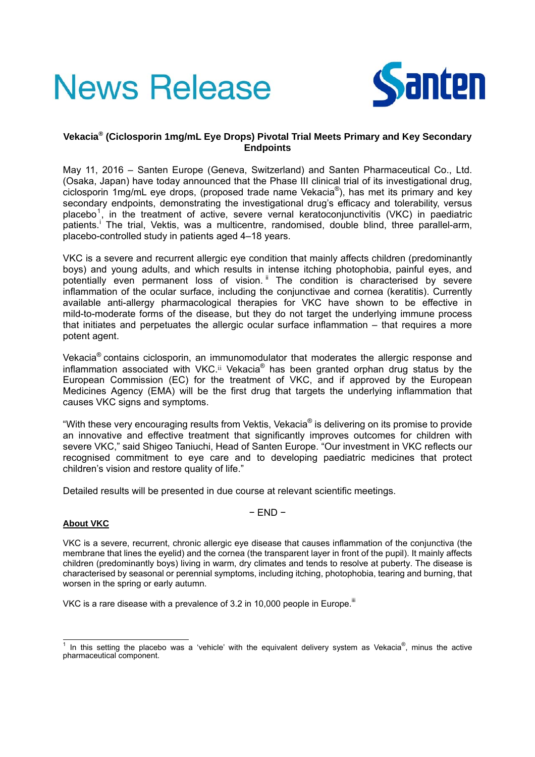# **News Release**



### **Vekacia® (Ciclosporin 1mg/mL Eye Drops) Pivotal Trial Meets Primary and Key Secondary Endpoints**

May 11, 2016 – Santen Europe (Geneva, Switzerland) and Santen Pharmaceutical Co., Ltd. (Osaka, Japan) have today announced that the Phase III clinical trial of its investigational drug, ciclosporin 1mg/mL eye drops, (proposed trade name Vekacia®), has met its primary and key secondary endpoints, demonstrating the investigational drug's efficacy and tolerability, versus placebo<sup>1</sup>, in the treatment of active, severe vernal keratoconjunctivitis (VKC) in paediatric patients.<sup>i</sup> The trial, Vektis, was a multicentre, randomised, double blind, three parallel-arm, placebo-controlled study in patients aged 4–18 years.

VKC is a severe and recurrent allergic eye condition that mainly affects children (predominantly boys) and young adults, and which results in intense itching photophobia, painful eyes, and potentially even permanent loss of vision. <sup>ii</sup> The condition is characterised by severe inflammation of the ocular surface, including the conjunctivae and cornea (keratitis). Currently available anti-allergy pharmacological therapies for VKC have shown to be effective in mild-to-moderate forms of the disease, but they do not target the underlying immune process that initiates and perpetuates the allergic ocular surface inflammation – that requires a more potent agent.

Vekacia® contains ciclosporin, an immunomodulator that moderates the allergic response and inflammation associated with VKC.<sup>ii</sup> Vekacia<sup>®</sup> has been granted orphan drug status by the European Commission (EC) for the treatment of VKC, and if approved by the European Medicines Agency (EMA) will be the first drug that targets the underlying inflammation that causes VKC signs and symptoms.

"With these very encouraging results from Vektis, Vekacia® is delivering on its promise to provide an innovative and effective treatment that significantly improves outcomes for children with severe VKC," said Shigeo Taniuchi, Head of Santen Europe. "Our investment in VKC reflects our recognised commitment to eye care and to developing paediatric medicines that protect children's vision and restore quality of life."

Detailed results will be presented in due course at relevant scientific meetings.

## **About VKC**

VKC is a severe, recurrent, chronic allergic eye disease that causes inflammation of the conjunctiva (the membrane that lines the eyelid) and the cornea (the transparent layer in front of the pupil). It mainly affects children (predominantly boys) living in warm, dry climates and tends to resolve at puberty. The disease is characterised by seasonal or perennial symptoms, including itching, photophobia, tearing and burning, that worsen in the spring or early autumn.

− END −

VKC is a rare disease with a prevalence of 3.2 in 10,000 people in Europe.<sup>iii</sup>

The this setting the placebo was a 'vehicle' with the equivalent delivery system as Vekacia®, minus the active pharmaceutical component.